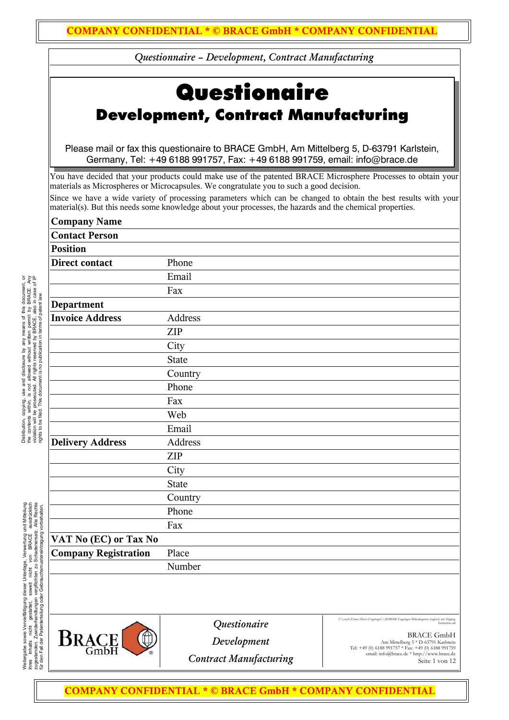# **Questionaire** Development, Contract Manufacturing

Please mail or fax this questionaire to BRACE GmbH, Am Mittelberg 5, D-63791 Karlstein, Germany, Tel: +49 6188 991757, Fax: +49 6188 991759, email: info@brace.de

You have decided that your products could make use of the patented BRACE Microsphere Processes to obtain your materials as Microspheres or Microcapsules. We congratulate you to such a good decision.

Since we have a wide variety of processing parameters which can be changed to obtain the best results with your material(s). But this needs some knowledge about your processes, the hazards and the chemical properties.

| <b>Company Name</b>         |              |
|-----------------------------|--------------|
| <b>Contact Person</b>       |              |
| <b>Position</b>             |              |
| <b>Direct contact</b>       | Phone        |
|                             | Email        |
|                             | Fax          |
| Department                  |              |
| <b>Invoice Address</b>      | Address      |
|                             | <b>ZIP</b>   |
|                             | City         |
|                             | <b>State</b> |
|                             | Country      |
|                             | Phone        |
|                             | Fax          |
|                             | Web          |
|                             | Email        |
| <b>Delivery Address</b>     | Address      |
|                             | <b>ZIP</b>   |
|                             | City         |
|                             | <b>State</b> |
|                             | Country      |
|                             | Phone        |
|                             | Fax          |
| VAT No (EC) or Tax No       |              |
| <b>Company Registration</b> | Place        |
|                             | Number       |
|                             |              |

Weitergabe sowie Vervielfältigung dieser Unterlage, Verwertung und Mitteilung<br>ihres ihnalts inicht gestättet, sowielt inicht von BRACE ausdrücklich<br>für den Fall der Patenterteilung oder Gebrauchsmustereintragung vorbehalte Weitergabe sowie Vervielfältigung dieser Unterlage, Verwertung und Mitteilung ihres Inhalts nicht gestattet, soweit nicht von BRACE ausdrücklich zugestanden. Zuwiderhandlungen verpflichten zu Schadenersatz. Alle Rechte für den Fall der Patenterteilung oder Gebrauchsmustereintragung vorbehalten.



*Questionaire*

*U:\crash\Firma\Micro\Fragebogen\\20200506 Fragebogen Mikrokugetests (englisch) mit Shipping* **Instructions.od** 

*Development*

*Contract Manufacturing*

BRACE GmbH Am Mittelberg 5 \* D-63791 Karlstein Tel: +49 (0) 6188 991757 \* Fax: +49 (0) 6188 991759 email: info@brace.de \* http://www.brace.de Seite 1 von 12

Distribution, copying, use and disclosure by any means of this document, or the contents within, is not allowed without witten permit by BRACE. Any digital to the contents within, is not allowed without witten permit by BR Distribution, copying, use and disclosure by any means of this document, or the contents within, is not allowed without written permit by BRACE. Any violation will be prosecuted. All rights reserved by BRACE, also in case of IP rights to be filed. This document is no publication in terms of patent law.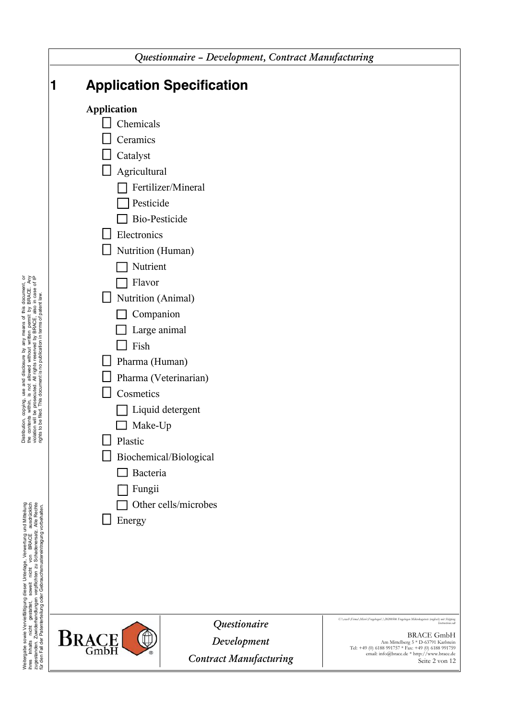| Questionnaire - Development, Contract Manufacturing                                                                                                                                                                                                                                                                           |                                                                                                                   |                                                                                                                                                                                                     |
|-------------------------------------------------------------------------------------------------------------------------------------------------------------------------------------------------------------------------------------------------------------------------------------------------------------------------------|-------------------------------------------------------------------------------------------------------------------|-----------------------------------------------------------------------------------------------------------------------------------------------------------------------------------------------------|
| 1                                                                                                                                                                                                                                                                                                                             | <b>Application Specification</b>                                                                                  |                                                                                                                                                                                                     |
| <b>Application</b><br>Chemicals<br>Ceramics<br>Catalyst<br>Agricultural<br>Pesticide<br><b>Bio-Pesticide</b><br>Electronics<br>Nutrition (Human)<br>Nutrient<br>Flavor<br>Nutrition (Animal)<br>Companion<br>Large animal<br>Fish<br>Pharma (Human)<br>Cosmetics<br>Make-Up<br>Plastic<br><b>Bacteria</b><br>Fungii<br>Energy | Fertilizer/Mineral<br>Pharma (Veterinarian)<br>Liquid detergent<br>Biochemical/Biological<br>Other cells/microbes | U:\cnstb\Firma\Micro\Fragebogen\\20200506 Fragebogen Mikrokagetests (englisch) mit Shipping                                                                                                         |
| <b>BRACE</b><br>GmbH                                                                                                                                                                                                                                                                                                          | Questionaire<br>Development<br><b>Contract Manufacturing</b>                                                      | Instructions.odl<br><b>BRACE GmbH</b><br>Am Mittelberg 5 * D-63791 Karlstein<br>Tel: +49 (0) 6188 991757 * Fax: +49 (0) 6188 991759<br>email: info@brace.de * http://www.brace.de<br>Seite 2 von 12 |

Distribution, copying, use and disclosure by any means of this document, or the contents within, is not allowed without witten permit by BRACE. Any violation will be prosecuted. All rights researced by BRACE, also in case Distribution, copying, use and disclosure by any means of this document, or the contents within, is not allowed without written permit by BRACE. Any violation will be prosecuted. All rights reserved by BRACE, also in case of IP rights to be filed. This document is no publication in terms of patent law.

Weitergabe sowie Vervelfältigung dieser Unterlage, Verwertung und Mitteilung<br>ihres Inhalts nicht gestattet, soweit nicht von BRACE ausdrücklich<br>für den Fall der Patenterteilung oder Gebrauchsmustereintragung vorbehaten.<br>fü Weitergabe sowie Vervielfältigung dieser Unterlage, Verwertung und Mitteilung ihres Inhalts nicht gestattet, soweit nicht von BRACE ausdrücklich zugestanden. Zuwiderhandlungen verpflichten zu Schadenersatz. Alle Rechte für den Fall der Patenterteilung oder Gebrauchsmustereintragung vorbehalten.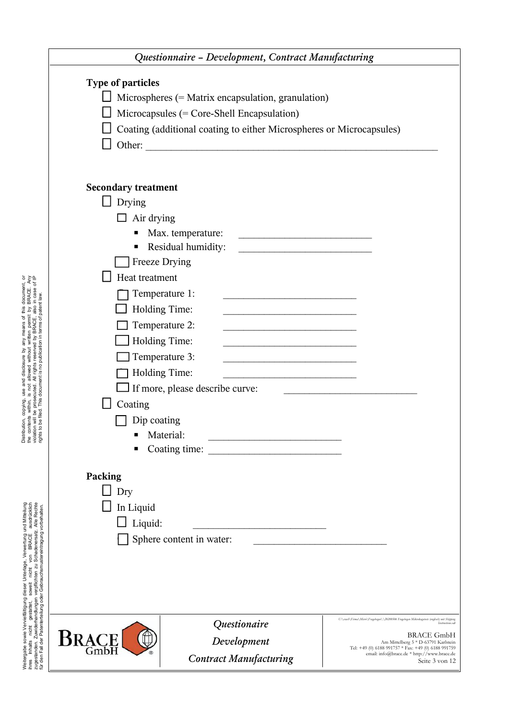|                                                                                                                                                                                                                                                                                                                                                                                                                                                                              | Questionnaire - Development, Contract Manufacturing                                                                                                       |                                                                                                                                                                                                                                                                                                                                                                                                                                                                                                                                                                                                                                                                                                                                  |                                                                                                                                                                                                                                                                                                   |
|------------------------------------------------------------------------------------------------------------------------------------------------------------------------------------------------------------------------------------------------------------------------------------------------------------------------------------------------------------------------------------------------------------------------------------------------------------------------------|-----------------------------------------------------------------------------------------------------------------------------------------------------------|----------------------------------------------------------------------------------------------------------------------------------------------------------------------------------------------------------------------------------------------------------------------------------------------------------------------------------------------------------------------------------------------------------------------------------------------------------------------------------------------------------------------------------------------------------------------------------------------------------------------------------------------------------------------------------------------------------------------------------|---------------------------------------------------------------------------------------------------------------------------------------------------------------------------------------------------------------------------------------------------------------------------------------------------|
|                                                                                                                                                                                                                                                                                                                                                                                                                                                                              | <b>Type of particles</b><br>Other:                                                                                                                        | Microspheres (= Matrix encapsulation, granulation)<br>Microcapsules ( $=$ Core-Shell Encapsulation)<br>Coating (additional coating to either Microspheres or Microcapsules)                                                                                                                                                                                                                                                                                                                                                                                                                                                                                                                                                      |                                                                                                                                                                                                                                                                                                   |
| Distribution, copying, use and disclosure by any means of this document, or<br>the contents within, is not allowed without witten permit by BRACE. Any<br>tights to be filed. This document is no publication in terms of passe of I<br>Weitergabe sowie Vervielfältigung dieser Unterlage, Verwertung und Mittellung<br>Inres Inhalts Inicht gestättet, soweit incht von BRACE ausdrucklich<br>für den Fall der Patenterfeilung oder Gebrauchsmustereintragung vorbehalten. | <b>Secondary treatment</b><br>Drying<br>Air drying<br>Freeze Drying<br>Heat treatment<br>Coating<br>Dip coating<br>Packing<br>Dry<br>In Liquid<br>Liquid: | Max. temperature:<br><u> 1989 - Johann Barn, mars ann an t-Amhain Aonaich an t-Aonaich an t-Aonaich ann an t-Aonaich ann an t-Aonaich</u><br>Residual humidity:<br><u> 1989 - Johann Stoff, fransk kongresu</u><br>Temperature 1:<br><u> 1989 - Johann Stein, marwolaethau a bhann an t-Amhair an t-Amhair an t-Amhair an t-Amhair an t-Amhair an t-A</u><br>Holding Time:<br>Temperature 2:<br>the control of the control of the control of the control of the control of<br>Holding Time:<br>Temperature 3:<br><u> 1989 - Johann Barbara, martxa alemaniar a</u><br>Holding Time:<br>If more, please describe curve:<br>Material:<br>Coating time:<br><u> 1980 - Jan Barbara Barbara, maska ka</u><br>Sphere content in water: |                                                                                                                                                                                                                                                                                                   |
|                                                                                                                                                                                                                                                                                                                                                                                                                                                                              | BRACE<br>GmbH                                                                                                                                             | Questionaire<br>Development<br><b>Contract Manufacturing</b>                                                                                                                                                                                                                                                                                                                                                                                                                                                                                                                                                                                                                                                                     | U:\cnsth\Firma\Micro\Fragebogen\\20200506 Fragebogen Mikrokugetests (englisch) mit Shipping<br>Instructions.od<br><b>BRACE GmbH</b><br>Am Mittelberg 5 * D-63791 Karlstein<br>Tel: +49 (0) 6188 991757 * Fax: +49 (0) 6188 991759<br>email: info@brace.de * http://www.brace.de<br>Seite 3 von 12 |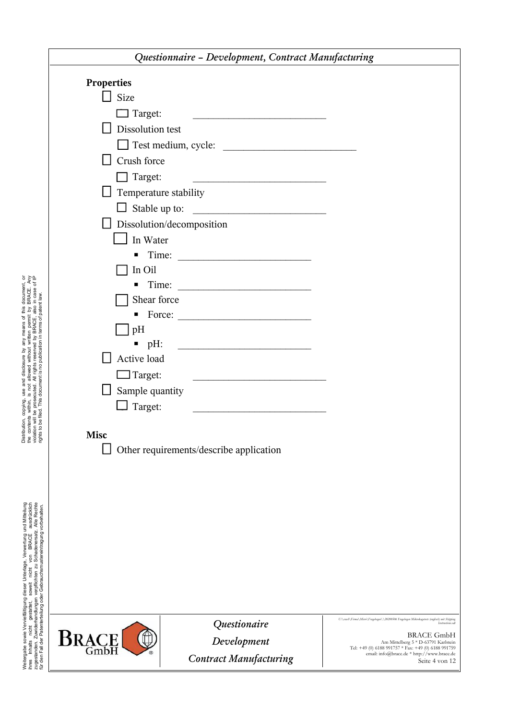| Questionnaire - Development, Contract Manufacturing                                        |                                                                                 |                                                                                                                 |  |
|--------------------------------------------------------------------------------------------|---------------------------------------------------------------------------------|-----------------------------------------------------------------------------------------------------------------|--|
| <b>Properties</b>                                                                          |                                                                                 |                                                                                                                 |  |
| $\Box$ Size                                                                                |                                                                                 |                                                                                                                 |  |
| $\Box$ Target:                                                                             | the contract of the contract of the contract of the contract of the contract of |                                                                                                                 |  |
| Dissolution test                                                                           |                                                                                 |                                                                                                                 |  |
|                                                                                            | Test medium, cycle:                                                             |                                                                                                                 |  |
| $\perp$ Crush force                                                                        |                                                                                 |                                                                                                                 |  |
| $\Box$ Target:                                                                             | <u> 1989 - Andrea Andrew Maria (h. 1989).</u>                                   |                                                                                                                 |  |
| $\Box$ Temperature stability                                                               |                                                                                 |                                                                                                                 |  |
|                                                                                            |                                                                                 |                                                                                                                 |  |
|                                                                                            | Dissolution/decomposition                                                       |                                                                                                                 |  |
| $\Box$ In Water                                                                            |                                                                                 |                                                                                                                 |  |
|                                                                                            |                                                                                 |                                                                                                                 |  |
| In Oil                                                                                     |                                                                                 |                                                                                                                 |  |
|                                                                                            |                                                                                 |                                                                                                                 |  |
| Shear force                                                                                |                                                                                 |                                                                                                                 |  |
|                                                                                            |                                                                                 |                                                                                                                 |  |
| pH                                                                                         |                                                                                 |                                                                                                                 |  |
|                                                                                            |                                                                                 |                                                                                                                 |  |
| Active load                                                                                |                                                                                 |                                                                                                                 |  |
| $\Box$ Target:<br><u> 1989 - Johann John Stein, mars an deus Amerikaansk kommunister (</u> |                                                                                 |                                                                                                                 |  |
| Sample quantity<br>$\Box$ Target:                                                          |                                                                                 |                                                                                                                 |  |
|                                                                                            |                                                                                 |                                                                                                                 |  |
| <b>Misc</b>                                                                                |                                                                                 |                                                                                                                 |  |
|                                                                                            | Other requirements/describe application                                         |                                                                                                                 |  |
|                                                                                            |                                                                                 |                                                                                                                 |  |
|                                                                                            |                                                                                 |                                                                                                                 |  |
|                                                                                            |                                                                                 |                                                                                                                 |  |
|                                                                                            |                                                                                 |                                                                                                                 |  |
|                                                                                            |                                                                                 |                                                                                                                 |  |
|                                                                                            |                                                                                 |                                                                                                                 |  |
|                                                                                            |                                                                                 |                                                                                                                 |  |
|                                                                                            |                                                                                 |                                                                                                                 |  |
|                                                                                            |                                                                                 |                                                                                                                 |  |
|                                                                                            |                                                                                 |                                                                                                                 |  |
|                                                                                            | Questionaire                                                                    | U:\cnstl\Firma\Micro\Fragebogen\\20200506 Fragebogen Mikrokugetests (englisch) mit Shipping<br>Instructions.odl |  |
| <b>BRACE</b>                                                                               | Development                                                                     | <b>BRACE GmbH</b><br>Am Mittelberg 5 * D-63791 Karlstein<br>Tel: +49 (0) 6188 991757 * Fax: +49 (0) 6188 991759 |  |
|                                                                                            | <b>Contract Manufacturing</b>                                                   | email: info@brace.de * http://www.brace.de<br>Seite 4 von 12                                                    |  |
|                                                                                            |                                                                                 |                                                                                                                 |  |

Distribution, copying, use and disclosure by any means of this document, or the contents within, is not allowed without witten permit by BRACE. Any distribution of the contents within, is not allowed without witten permit Distribution, copying, use and disclosure by any means of this document, or the contents within, is not allowed without written permit by BRACE. Any violation will be prosecuted. All rights reserved by BRACE, also in case of IP rights to be filed. This document is no publication in terms of patent law.

Weitergabe sowie Vervelfältigung dieser Unterlage, Verwertung und Mitteilung<br>ihres Inhalts nicht gestattet, sowiet nicht von BRACE ausdrücklich<br>für ein Fallen Patenterfellung oder Gebrauchsrau Stehertungung vorbehaften.<br>fü Weitergabe sowie Vervielfältigung dieser Unterlage, Verwertung und Mitteilung ihres Inhalts nicht gestattet, soweit nicht von BRACE ausdrücklich zugestanden. Zuwiderhandlungen verpflichten zu Schadenersatz. Alle Rechte für den Fall der Patenterteilung oder Gebrauchsmustereintragung vorbehalten.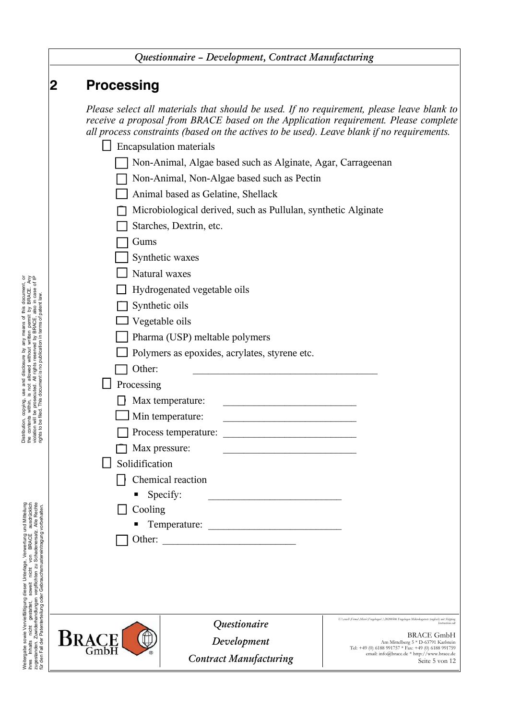|                                                                                                                                                                                                                                      | Questionnaire - Development, Contract Manufacturing |                                               |                                                                                                                                                                                                                                                                                |                                                                                                                 |
|--------------------------------------------------------------------------------------------------------------------------------------------------------------------------------------------------------------------------------------|-----------------------------------------------------|-----------------------------------------------|--------------------------------------------------------------------------------------------------------------------------------------------------------------------------------------------------------------------------------------------------------------------------------|-----------------------------------------------------------------------------------------------------------------|
|                                                                                                                                                                                                                                      | $\bf{2}$                                            | <b>Processing</b>                             |                                                                                                                                                                                                                                                                                |                                                                                                                 |
|                                                                                                                                                                                                                                      |                                                     |                                               | Please select all materials that should be used. If no requirement, please leave blank to<br>receive a proposal from BRACE based on the Application requirement. Please complete<br>all process constraints (based on the actives to be used). Leave blank if no requirements. |                                                                                                                 |
|                                                                                                                                                                                                                                      |                                                     |                                               | <b>Encapsulation materials</b>                                                                                                                                                                                                                                                 |                                                                                                                 |
|                                                                                                                                                                                                                                      |                                                     |                                               | Non-Animal, Algae based such as Alginate, Agar, Carrageenan                                                                                                                                                                                                                    |                                                                                                                 |
|                                                                                                                                                                                                                                      |                                                     |                                               | Non-Animal, Non-Algae based such as Pectin                                                                                                                                                                                                                                     |                                                                                                                 |
|                                                                                                                                                                                                                                      |                                                     |                                               | Animal based as Gelatine, Shellack                                                                                                                                                                                                                                             |                                                                                                                 |
|                                                                                                                                                                                                                                      |                                                     |                                               | Microbiological derived, such as Pullulan, synthetic Alginate                                                                                                                                                                                                                  |                                                                                                                 |
|                                                                                                                                                                                                                                      |                                                     |                                               | Starches, Dextrin, etc.                                                                                                                                                                                                                                                        |                                                                                                                 |
|                                                                                                                                                                                                                                      |                                                     | Gums                                          |                                                                                                                                                                                                                                                                                |                                                                                                                 |
|                                                                                                                                                                                                                                      |                                                     |                                               | Synthetic waxes                                                                                                                                                                                                                                                                |                                                                                                                 |
|                                                                                                                                                                                                                                      |                                                     | Natural waxes                                 |                                                                                                                                                                                                                                                                                |                                                                                                                 |
|                                                                                                                                                                                                                                      |                                                     | Hydrogenated vegetable oils                   |                                                                                                                                                                                                                                                                                |                                                                                                                 |
| Distribution, copying, use and disclosure by any means of this document, or<br>the contents within, is not allowed without witten permit by BRACE. Any<br>tights to be filed. This document is no publication in terms of passe of I |                                                     | Synthetic oils                                |                                                                                                                                                                                                                                                                                |                                                                                                                 |
|                                                                                                                                                                                                                                      |                                                     | Vegetable oils                                |                                                                                                                                                                                                                                                                                |                                                                                                                 |
|                                                                                                                                                                                                                                      |                                                     | Pharma (USP) meltable polymers                |                                                                                                                                                                                                                                                                                |                                                                                                                 |
|                                                                                                                                                                                                                                      |                                                     | Polymers as epoxides, acrylates, styrene etc. |                                                                                                                                                                                                                                                                                |                                                                                                                 |
|                                                                                                                                                                                                                                      |                                                     | Other:                                        |                                                                                                                                                                                                                                                                                |                                                                                                                 |
|                                                                                                                                                                                                                                      |                                                     | Processing                                    |                                                                                                                                                                                                                                                                                |                                                                                                                 |
|                                                                                                                                                                                                                                      |                                                     |                                               | Max temperature:                                                                                                                                                                                                                                                               |                                                                                                                 |
|                                                                                                                                                                                                                                      |                                                     |                                               | Min temperature:                                                                                                                                                                                                                                                               |                                                                                                                 |
|                                                                                                                                                                                                                                      |                                                     |                                               | Process temperature:                                                                                                                                                                                                                                                           |                                                                                                                 |
|                                                                                                                                                                                                                                      |                                                     |                                               | Max pressure:                                                                                                                                                                                                                                                                  |                                                                                                                 |
|                                                                                                                                                                                                                                      |                                                     | Solidification                                |                                                                                                                                                                                                                                                                                |                                                                                                                 |
|                                                                                                                                                                                                                                      |                                                     |                                               | Chemical reaction                                                                                                                                                                                                                                                              |                                                                                                                 |
|                                                                                                                                                                                                                                      |                                                     |                                               | Specify:<br><u> 1989 - Johann Stoff, deutscher Stoffen und der Stoffen und der Stoffen und der Stoffen und der Stoffen und der</u>                                                                                                                                             |                                                                                                                 |
|                                                                                                                                                                                                                                      |                                                     | Cooling                                       |                                                                                                                                                                                                                                                                                |                                                                                                                 |
|                                                                                                                                                                                                                                      |                                                     |                                               |                                                                                                                                                                                                                                                                                |                                                                                                                 |
|                                                                                                                                                                                                                                      |                                                     | Other:                                        | <u> Alexandria (m. 1888)</u>                                                                                                                                                                                                                                                   |                                                                                                                 |
|                                                                                                                                                                                                                                      |                                                     |                                               |                                                                                                                                                                                                                                                                                |                                                                                                                 |
|                                                                                                                                                                                                                                      |                                                     |                                               |                                                                                                                                                                                                                                                                                |                                                                                                                 |
|                                                                                                                                                                                                                                      |                                                     |                                               |                                                                                                                                                                                                                                                                                |                                                                                                                 |
|                                                                                                                                                                                                                                      |                                                     |                                               |                                                                                                                                                                                                                                                                                |                                                                                                                 |
|                                                                                                                                                                                                                                      |                                                     |                                               | Questionaire                                                                                                                                                                                                                                                                   | U:\cnsh\Firma\Micro\Fragebogen\\20200506 Fragebogen Mikrokagetests (englisch) mit Shipping<br>Instructions.odl  |
|                                                                                                                                                                                                                                      |                                                     | <b>BRACE</b>                                  | Development                                                                                                                                                                                                                                                                    | <b>BRACE GmbH</b><br>Am Mittelberg 5 * D-63791 Karlstein<br>Tel: +49 (0) 6188 991757 * Fax: +49 (0) 6188 991759 |
| Weitergabe sowie Vervielfältigung dieser Unterlage, Verwertung und Mittellung<br>ihres   Irhaits   nicht  gestattet,   soweit   nicht   von   BRACE   ausdrucklich<br>für den Fall der Patenterfellung oder Gebrauchs nustereintragu |                                                     |                                               | <b>Contract Manufacturing</b>                                                                                                                                                                                                                                                  | email: info@brace.de * http://www.brace.de<br>Seite 5 von 12                                                    |
|                                                                                                                                                                                                                                      |                                                     |                                               |                                                                                                                                                                                                                                                                                |                                                                                                                 |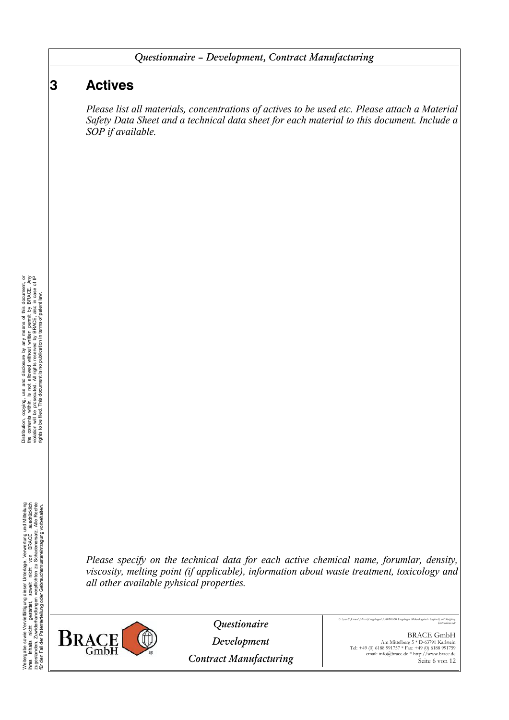# **3 Actives**

*Please list all materials, concentrations of actives to be used etc. Please attach a Material Safety Data Sheet and a technical data sheet for each material to this document. Include a SOP if available.*

Weitergabe sowie Vervelfältigung dieser Unterlage. Verwertung und Mitteilung<br>ihres Inhalts micht gestattet, sowiet nicht von BRACE ausdrücklich<br>für den Fall der Patenterteilung oder Gebrauchsmustereintragung vorbehaten.<br>fü Weitergabe sowie Vervielfältigung dieser Unterlage, Verwertung und Mitteilung ihres Inhalts nicht gestattet, soweit nicht von BRACE ausdrücklich zugestanden. Zuwiderhandlungen verpflichten zu Schadenersatz. Alle Rechte für den Fall der Patenterteilung oder Gebrauchsmustereintragung vorbehalten.

*Please specify on the technical data for each active chemical name, forumlar, density, viscosity, melting point (if applicable), information about waste treatment, toxicology and all other available pyhsical properties.*



*Questionaire*

*U:\crash\Firma\Micro\Fragebogen\\20200506 Fragebogen Mikrokugetests (englisch) mit Shipping Instructions.odt*

*Development*

*Contract Manufacturing*

BRACE GmbH Am Mittelberg 5 \* D-63791 Karlstein Tel: +49 (0) 6188 991757 \* Fax: +49 (0) 6188 991759 email: info@brace.de \* http://www.brace.de Seite 6 von 12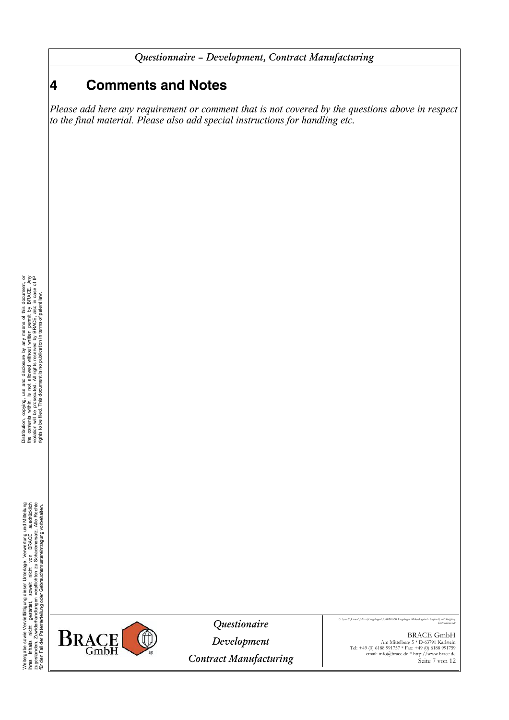# **4 Comments and Notes**

*Please add here any requirement or comment that is not covered by the questions above in respect to the final material. Please also add special instructions for handling etc.*

Weitergabe sowie Vervielfältigung dieser Unterlage. Verwertung und Mittellung<br>ihres Inhalts Inicht gestättet, sowiet inicht von BRACE Ausdrücklich<br>ihres Inhalts Inicht gestättet, sowiet inicht von BRACE Ausdrücklich<br>für de Weitergabe sowie Vervielfältigung dieser Unterlage, Verwertung und Mitteilung ihres Inhalts nicht gestattet, soweit nicht von BRACE ausdrücklich zugestanden. Zuwiderhandlungen verpflichten zu Schadenersatz. Alle Rechte für den Fall der Patenterteilung oder Gebrauchsmustereintragung vorbehalten.



*Questionaire*

*Development Contract Manufacturing* *U:\crash\Firma\Micro\Fragebogen\\20200506 Fragebogen Mikrokugetests (englisch) mit Shipping* **Instructions.od** 

> BRACE GmbH Am Mittelberg 5 \* D-63791 Karlstein Tel: +49 (0) 6188 991757 \* Fax: +49 (0) 6188 991759 email: info@brace.de \* http://www.brace.de Seite 7 von 12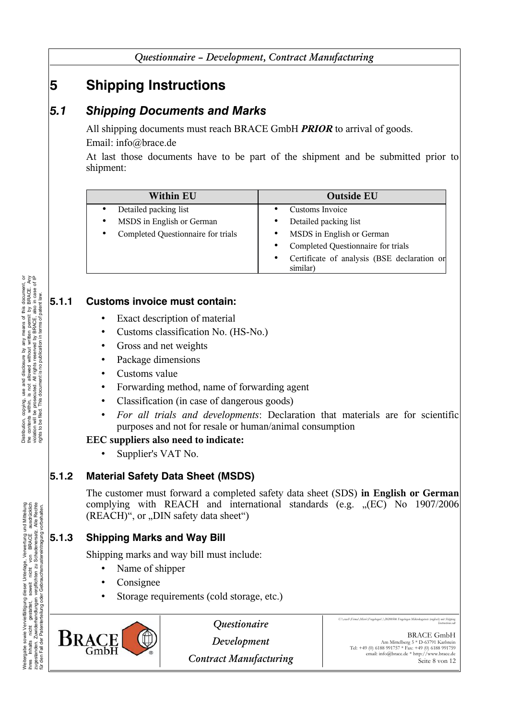# **5 Shipping Instructions**

# *5.1 Shipping Documents and Marks*

All shipping documents must reach BRACE GmbH *PRIOR* to arrival of goods. Email: info@brace.de

At last those documents have to be part of the shipment and be submitted prior to shipment:

| <b>Within EU</b>                   | <b>Outside EU</b>                                                    |
|------------------------------------|----------------------------------------------------------------------|
| Detailed packing list              | Customs Invoice                                                      |
| MSDS in English or German          | Detailed packing list<br>٠                                           |
| Completed Questionnaire for trials | MSDS in English or German<br>$\bullet$                               |
|                                    | Completed Questionnaire for trials<br>$\bullet$                      |
|                                    | Certificate of analysis (BSE declaration or<br>$\bullet$<br>similar) |

### **5.1.1 Customs invoice must contain:**

- Exact description of material
- Customs classification No. (HS-No.)
- Gross and net weights
- Package dimensions
- Customs value
- Forwarding method, name of forwarding agent
- Classification (in case of dangerous goods)
- *For all trials and developments*: Declaration that materials are for scientific purposes and not for resale or human/animal consumption

#### **EEC suppliers also need to indicate:**

• Supplier's VAT No.

## **5.1.2 Material Safety Data Sheet (MSDS)**

The customer must forward a completed safety data sheet (SDS) **in English or German** complying with REACH and international standards (e.g. "(EC) No 1907/2006  $(REACH)^{\alpha}$ , or  $,$  DIN safety data sheet $\alpha$ 

## **5.1.3 Shipping Marks and Way Bill**

Shipping marks and way bill must include:

- Name of shipper
- Consignee
- Storage requirements (cold storage, etc.)



*Questionaire*

*Development Contract Manufacturing* *U:\crash\Firma\Micro\Fragebogen\\20200506 Fragebogen Mikrokugetests (englisch) mit Shipping* **Instructions.od** 

BRACE GmbH Am Mittelberg 5 \* D-63791 Karlstein Tel: +49 (0) 6188 991757 \* Fax: +49 (0) 6188 991759 email: info@brace.de \* http://www.brace.de Seite 8 von 12

Weitergabe sowie Vervelfältigung dieser Unterlage. Verwertung und Mitteilung<br>ihres Inhalts micht gestattet, sowiet nicht von BRACE ausdrücklich<br>für den Fall der Patenterteilung oder Gebrauchsmustereintragung vorbehaten.<br>fü Weitergabe sowie Vervielfältigung dieser Unterlage, Verwertung und Mitteilung ihres Inhalts nicht gestattet, soweit nicht von BRACE ausdrücklich zugestanden. Zuwiderhandlungen verpflichten zu Schadenersatz. Alle Rechte für den Fall der Patenterteilung oder Gebrauchsmustereintragung vorbehalten.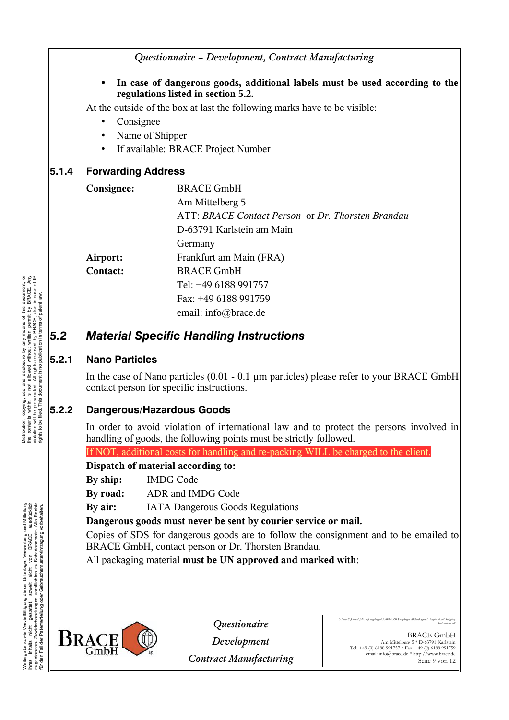#### • **In case of dangerous goods, additional labels must be used according to the regulations listed in section [5.2.](#page-8-0)**

At the outside of the box at last the following marks have to be visible:

- Consignee
- Name of Shipper
- If available: BRACE Project Number

#### **5.1.4 Forwarding Address**

| Consignee:      | <b>BRACE GmbH</b>                                 |
|-----------------|---------------------------------------------------|
|                 | Am Mittelberg 5                                   |
|                 | ATT: BRACE Contact Person or Dr. Thorsten Brandau |
|                 | D-63791 Karlstein am Main                         |
|                 | Germany                                           |
| Airport:        | Frankfurt am Main (FRA)                           |
| <b>Contact:</b> | <b>BRACE GmbH</b>                                 |
|                 | Tel: +49 6188 991757                              |
|                 | Fax: +49 6188 991759                              |
|                 | email: info@brace.de                              |

## <span id="page-8-0"></span>*5.2 Material Specific Handling Instructions*

#### **5.2.1 Nano Particles**

In the case of Nano particles (0.01 - 0.1 µm particles) please refer to your BRACE GmbH contact person for specific instructions.

#### **5.2.2 Dangerous/Hazardous Goods**

In order to avoid violation of international law and to protect the persons involved in handling of goods, the following points must be strictly followed.

If NOT, additional costs for handling and re-packing WILL be charged to the client.

#### **Dispatch of material according to:**

**By ship:** IMDG Code

**By road:** ADR and IMDG Code

**By air:** IATA Dangerous Goods Regulations

**Dangerous goods must never be sent by courier service or mail.**

Copies of SDS for dangerous goods are to follow the consignment and to be emailed to BRACE GmbH, contact person or Dr. Thorsten Brandau.

All packaging material **must be UN approved and marked with**:



*Questionaire*

*Development Contract Manufacturing* *U:\crash\Firma\Micro\Fragebogen\\20200506 Fragebogen Mikrokugetests (englisch) mit Shipping* **Instructions.od** 

Weitergabe sowie Vervielfältigung dieser Unterlage, Verwertung und Mitteilung ihres Inhalts nicht gestattet, soweit nicht von BRACE ausdrücklich zugestanden. Zuwiderhandlungen verpflichten zu Schadenersatz. Alle Rechte für den Fall der Patenterteilung oder Gebrauchsmustereintragung vorbehalten.

Weitergabe sowie Vervelfältigung dieser Unterlage. Verwertung und Mitteilung<br>ihres Inhalts micht gestattet, sowiet nicht von BRACE ausdrücklich<br>für den Fall der Patenterteilung oder Gebrauchsmustereintragung vorbehaten.<br>fü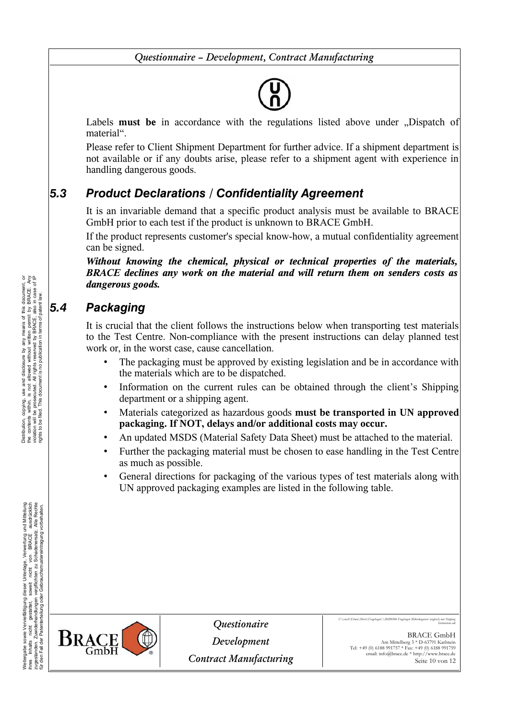Labels **must be** in accordance with the regulations listed above under .Dispatch of material".

Please refer to Client Shipment Department for further advice. If a shipment department is not available or if any doubts arise, please refer to a shipment agent with experience in handling dangerous goods.

# *5.3 Product Declarations / Confidentiality Agreement*

It is an invariable demand that a specific product analysis must be available to BRACE GmbH prior to each test if the product is unknown to BRACE GmbH.

If the product represents customer's special know-how, a mutual confidentiality agreement can be signed.

*Without knowing the chemical, physical or technical properties of the materials, BRACE declines any work on the material and will return them on senders costs as dangerous goods.*

# *5.4 Packaging*

It is crucial that the client follows the instructions below when transporting test materials to the Test Centre. Non-compliance with the present instructions can delay planned test work or, in the worst case, cause cancellation.

- The packaging must be approved by existing legislation and be in accordance with the materials which are to be dispatched.
- Information on the current rules can be obtained through the client's Shipping department or a shipping agent.
- Materials categorized as hazardous goods **must be transported in UN approved packaging. If NOT, delays and/or additional costs may occur.**
- An updated MSDS (Material Safety Data Sheet) must be attached to the material.
- Further the packaging material must be chosen to ease handling in the Test Centre as much as possible.
- General directions for packaging of the various types of test materials along with UN approved packaging examples are listed in the following table.



*Questionaire*

*Development Contract Manufacturing* *U:\crash\Firma\Micro\Fragebogen\\20200506 Fragebogen Mikrokugetests (englisch) mit Shipping* **Instructions.od** 

> BRACE GmbH Am Mittelberg 5 \* D-63791 Karlstein Tel: +49 (0) 6188 991757 \* Fax: +49 (0) 6188 991759 email: info@brace.de \* http://www.brace.de Seite 10 von 12

Distribution, copying, use and disclosure by any means of this document, or the contents within, is not allowed without withen permit by BRACE. Any disclosure the contents within, is not allowed without withen permit by BR Distribution, copying, use and disclosure by any means of this document, or the contents within, is not allowed without written permit by BRACE. Any violation will be prosecuted. All rights reserved by BRACE, also in case of IP rights to be filed. This document is no publication in terms of patent law.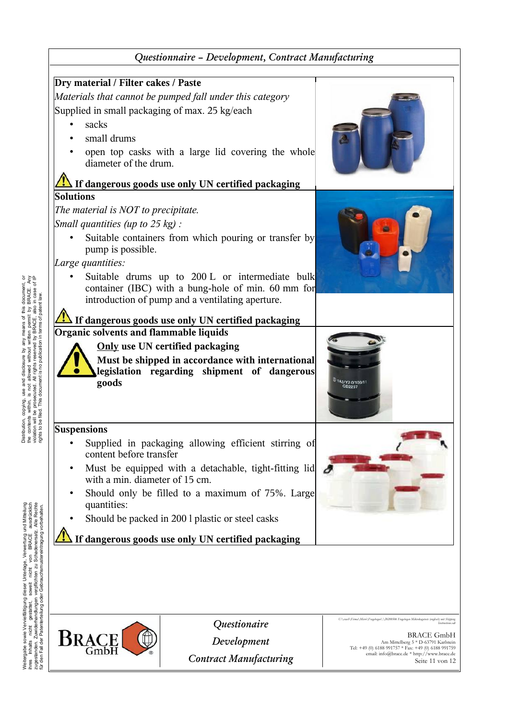

Seite 11 von 12

Distribution, copying, use and disclosure by any means of this document, or the contents within, is not allowed without written permit by BRACE. Any disclosure the contents within, is not allowed without written permit by Distribution, copying, use and disclosure by any means of this document, or the contents within, is not allowed without written permit by BRACE. Any violation will be prosecuted. All rights reserved by BRACE, also in case of IP rights to be filed. This document is no publication in terms of patent law.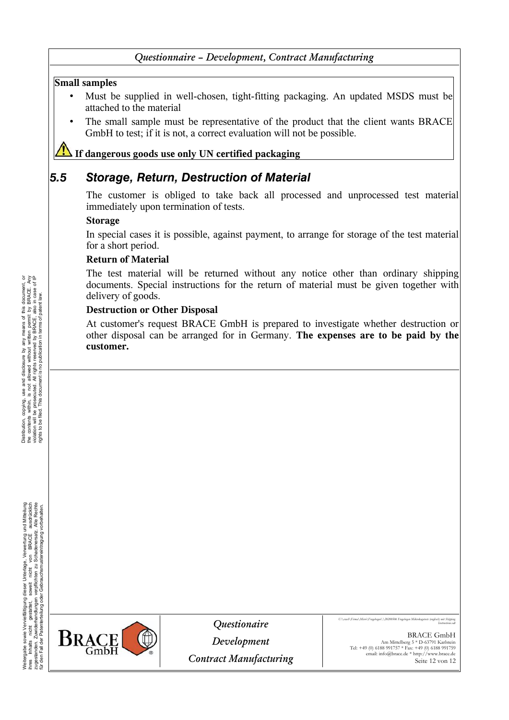#### **Small samples**

- Must be supplied in well-chosen, tight-fitting packaging. An updated MSDS must be attached to the material
- The small sample must be representative of the product that the client wants BRACE GmbH to test; if it is not, a correct evaluation will not be possible.

#### **If dangerous goods use only UN certified packaging**

### *5.5 Storage, Return, Destruction of Material*

The customer is obliged to take back all processed and unprocessed test material immediately upon termination of tests.

#### **Storage**

In special cases it is possible, against payment, to arrange for storage of the test material for a short period.

#### **Return of Material**

The test material will be returned without any notice other than ordinary shipping documents. Special instructions for the return of material must be given together with delivery of goods.

#### **Destruction or Other Disposal**

At customer's request BRACE GmbH is prepared to investigate whether destruction or other disposal can be arranged for in Germany. **The expenses are to be paid by the customer.**

Weitergabe sowie Vervelfältigung dieser Unterlage. Verwertung und Mitteilung<br>ihres Inhalts micht gestattet, sowiet nicht von BRACE ausdrücklich<br>für den Fall der Patenterteilung oder Gebrauchsmustereintragung vorbehaten.<br>fü Weitergabe sowie Vervielfältigung dieser Unterlage, Verwertung und Mitteilung ihres Inhalts nicht gestattet, soweit nicht von BRACE ausdrücklich zugestanden. Zuwiderhandlungen verpflichten zu Schadenersatz. Alle Rechte für den Fall der Patenterteilung oder Gebrauchsmustereintragung vorbehalten.



*Questionaire*

*Development Contract Manufacturing* *U:\crash\Firma\Micro\Fragebogen\\20200506 Fragebogen Mikrokugetests (englisch) mit Shipping* **Instructions.od** 

> BRACE GmbH Am Mittelberg 5 \* D-63791 Karlstein Tel: +49 (0) 6188 991757 \* Fax: +49 (0) 6188 991759 email: info@brace.de \* http://www.brace.de Seite 12 von 12